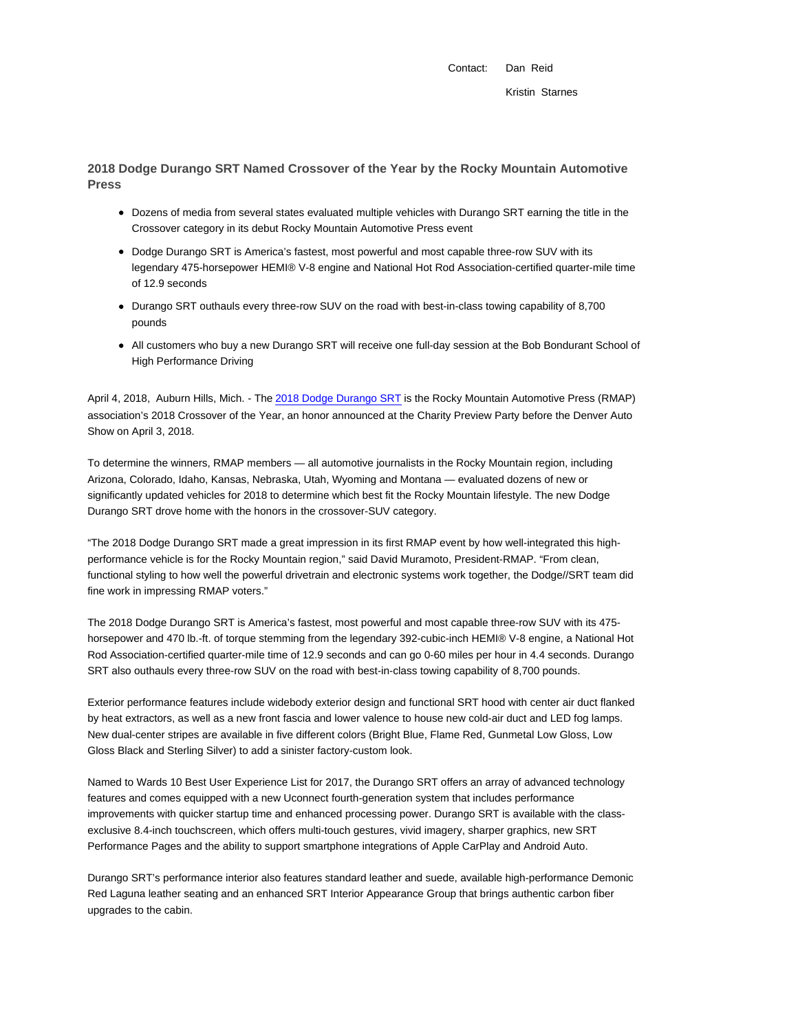Contact: Dan Reid Kristin Starnes

**2018 Dodge Durango SRT Named Crossover of the Year by the Rocky Mountain Automotive Press**

- Dozens of media from several states evaluated multiple vehicles with Durango SRT earning the title in the Crossover category in its debut Rocky Mountain Automotive Press event
- Dodge Durango SRT is America's fastest, most powerful and most capable three-row SUV with its legendary 475-horsepower HEMI® V-8 engine and National Hot Rod Association-certified quarter-mile time of 12.9 seconds
- Durango SRT outhauls every three-row SUV on the road with best-in-class towing capability of 8,700 pounds
- All customers who buy a new Durango SRT will receive one full-day session at the Bob Bondurant School of High Performance Driving

April 4, 2018, Auburn Hills, Mich. - The 2018 Dodge Durango SRT is the Rocky Mountain Automotive Press (RMAP) association's 2018 Crossover of the Year, an honor announced at the Charity Preview Party before the Denver Auto Show on April 3, 2018.

To determine the winners, RMAP members — all automotive journalists in the Rocky Mountain region, including Arizona, Colorado, Idaho, Kansas, Nebraska, Utah, Wyoming and Montana — evaluated dozens of new or significantly updated vehicles for 2018 to determine which best fit the Rocky Mountain lifestyle. The new Dodge Durango SRT drove home with the honors in the crossover-SUV category.

"The 2018 Dodge Durango SRT made a great impression in its first RMAP event by how well-integrated this highperformance vehicle is for the Rocky Mountain region," said David Muramoto, President-RMAP. "From clean, functional styling to how well the powerful drivetrain and electronic systems work together, the Dodge//SRT team did fine work in impressing RMAP voters."

The 2018 Dodge Durango SRT is America's fastest, most powerful and most capable three-row SUV with its 475 horsepower and 470 lb.-ft. of torque stemming from the legendary 392-cubic-inch HEMI® V-8 engine, a National Hot Rod Association-certified quarter-mile time of 12.9 seconds and can go 0-60 miles per hour in 4.4 seconds. Durango SRT also outhauls every three-row SUV on the road with best-in-class towing capability of 8,700 pounds.

Exterior performance features include widebody exterior design and functional SRT hood with center air duct flanked by heat extractors, as well as a new front fascia and lower valence to house new cold-air duct and LED fog lamps. New dual-center stripes are available in five different colors (Bright Blue, Flame Red, Gunmetal Low Gloss, Low Gloss Black and Sterling Silver) to add a sinister factory-custom look.

Named to Wards 10 Best User Experience List for 2017, the Durango SRT offers an array of advanced technology features and comes equipped with a new Uconnect fourth-generation system that includes performance improvements with quicker startup time and enhanced processing power. Durango SRT is available with the classexclusive 8.4-inch touchscreen, which offers multi-touch gestures, vivid imagery, sharper graphics, new SRT Performance Pages and the ability to support smartphone integrations of Apple CarPlay and Android Auto.

Durango SRT's performance interior also features standard leather and suede, available high-performance Demonic Red Laguna leather seating and an enhanced SRT Interior Appearance Group that brings authentic carbon fiber upgrades to the cabin.